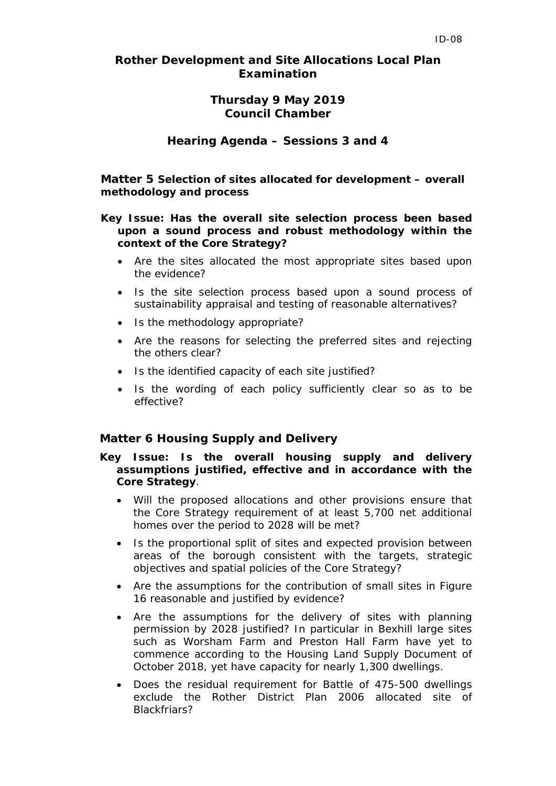## *Rother Development and Site Allocations Local Plan Examination*

# **Thursday 9 May 2019 Council Chamber**

## **Hearing Agenda – Sessions 3 and 4**

**Matter 5 Selection of sites allocated for development – overall methodology and process**

### *Key Issue:* **Has the overall site selection process been based upon a sound process and robust methodology within the context of the Core Strategy?**

- Are the sites allocated the most appropriate sites based upon the evidence?
- Is the site selection process based upon a sound process of sustainability appraisal and testing of reasonable alternatives?
- Is the methodology appropriate?
- Are the reasons for selecting the preferred sites and rejecting the others clear?
- Is the identified capacity of each site justified?
- Is the wording of each policy sufficiently clear so as to be effective?

#### **Matter 6 Housing Supply and Delivery**

### *Key Issue***: Is the overall housing supply and delivery assumptions justified, effective and in accordance with the Core Strategy**.

- Will the proposed allocations and other provisions ensure that the Core Strategy requirement of at least 5,700 net additional homes over the period to 2028 will be met?
- Is the proportional split of sites and expected provision between areas of the borough consistent with the targets, strategic objectives and spatial policies of the Core Strategy?
- Are the assumptions for the contribution of small sites in Figure 16 reasonable and justified by evidence?
- Are the assumptions for the delivery of sites with planning permission by 2028 justified? In particular in Bexhill large sites such as Worsham Farm and Preston Hall Farm have yet to commence according to the Housing Land Supply Document of October 2018, yet have capacity for nearly 1,300 dwellings.
- Does the residual requirement for Battle of 475-500 dwellings exclude the Rother District Plan 2006 allocated site of Blackfriars?